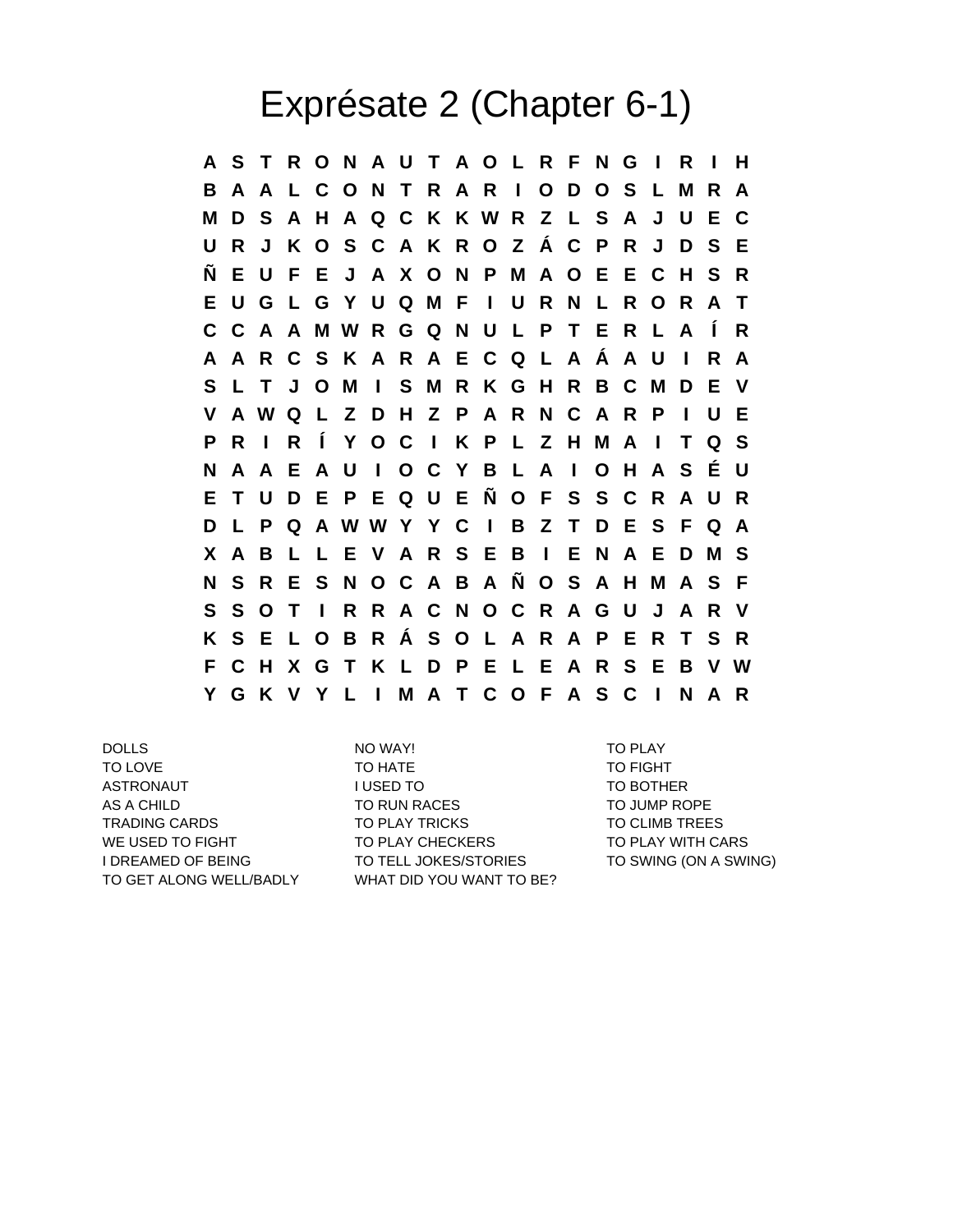## Exprésate 2 (Chapter 6-1)

**A S T R O N A U T A O L R F N G I R I H B A A L C O N T R A R I O D O S L M R A M D S A H A Q C K K W R Z L S A J U E C U R J K O S C A K R O Z Á C P R J D S E Ñ E U F E J A X O N P M A O E E C H S R E U G L G Y U Q M F I U R N L R O R A T C C A A M W R G Q N U L P T E R L A Í R A A R C S K A R A E C Q L A Á A U I R A S L T J O M I S M R K G H R B C M D E V V A W Q L Z D H Z P A R N C A R P I U E P R I R Í Y O C I K P L Z H M A I T Q S N A A E A U I O C Y B L A I O H A S É U E T U D E P E Q U E Ñ O F S S C R A U R D L P Q A W W Y Y C I B Z T D E S F Q A X A B L L E V A R S E B I E N A E D M S N S R E S N O C A B A Ñ O S A H M A S F S S O T I R R A C N O C R A G U J A R V K S E L O B R Á S O L A R A P E R T S R F C H X G T K L D P E L E A R S E B V W Y G K V Y L I M A T C O F A S C I N A R**

DOLLS NO WAY! TO PLAY

TO LOVE TO HATE TO HATE TO FIGHT ASTRONAUT TO BOTHER I USED TO TO TO BOTHER AS A CHILD **TO RUN RACES** TO JUMP ROPE TRADING CARDS TO PLAY TRICKS TO CLIMB TREES WE USED TO FIGHT TO PLAY CHECKERS TO PLAY TO PLAY WITH CARS I DREAMED OF BEING TO TELL JOKES/STORIES TO SWING (ON A SWING) TO GET ALONG WELL/BADLY WHAT DID YOU WANT TO BE?